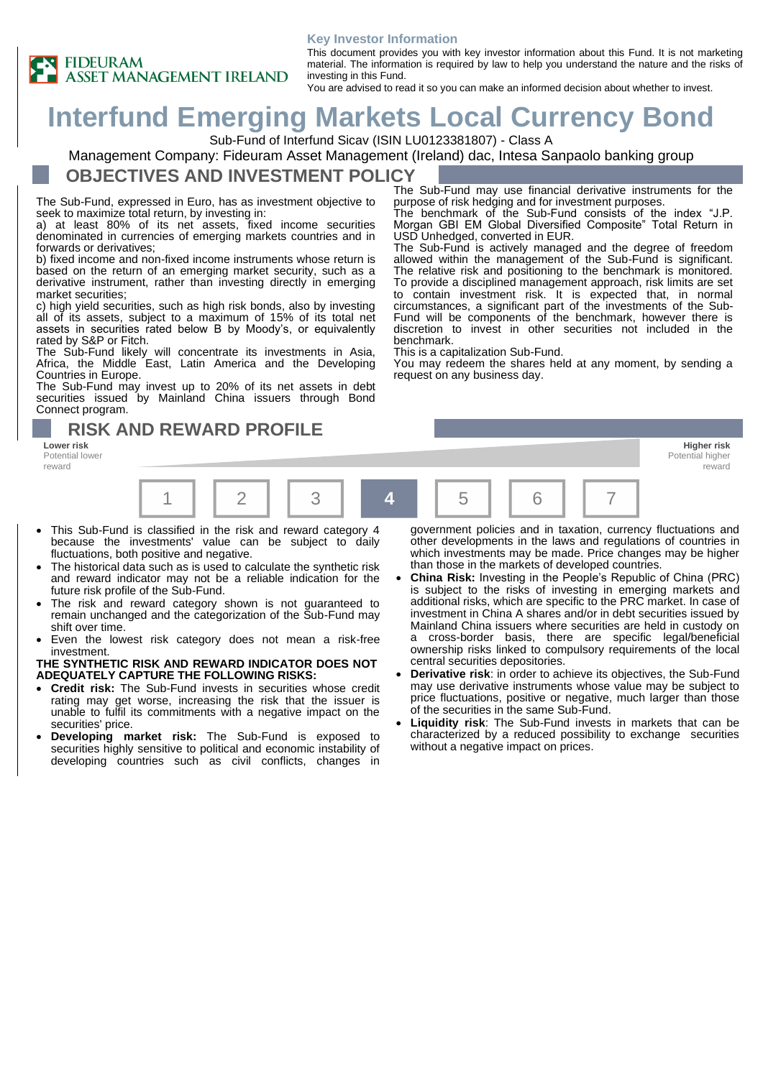#### **Key Investor Information**



This document provides you with key investor information about this Fund. It is not marketing material. The information is required by law to help you understand the nature and the risks of investing in this Fund. You are advised to read it so you can make an informed decision about whether to invest.

purpose of risk hedging and for investment purposes.

USD Unhedged, converted in EUR.

This is a capitalization Sub-Fund.

request on any business day.

The benchmark of the Sub-Fund consists of the index "J.P. Morgan GBI EM Global Diversified Composite" Total Return in

The Sub-Fund is actively managed and the degree of freedom allowed within the management of the Sub-Fund is significant. The relative risk and positioning to the benchmark is monitored. To provide a disciplined management approach, risk limits are set to contain investment risk. It is expected that, in normal circumstances, a significant part of the investments of the Sub-Fund will be components of the benchmark, however there is discretion to invest in other securities not included in the

You may redeem the shares held at any moment, by sending a

**Interfund Emerging Markets Local Currency Bond**

Sub-Fund of Interfund Sicav (ISIN LU0123381807) - Class A

Management Company: Fideuram Asset Management (Ireland) dac, Intesa Sanpaolo banking group

### **OBJECTIVES AND INVESTMENT POLICY** The Sub-Fund may use financial derivative instruments for the

The Sub-Fund, expressed in Euro, has as investment objective to seek to maximize total return, by investing in:

a) at least 80% of its net assets, fixed income securities denominated in currencies of emerging markets countries and in forwards or derivatives;

b) fixed income and non-fixed income instruments whose return is based on the return of an emerging market security, such as a derivative instrument, rather than investing directly in emerging market securities;

c) high yield securities, such as high risk bonds, also by investing all of its assets, subject to a maximum of 15% of its total net assets in securities rated below B by Moody's, or equivalently rated by S&P or Fitch.

The Sub-Fund likely will concentrate its investments in Asia, Africa, the Middle East, Latin America and the Developing Countries in Europe.

The Sub-Fund may invest up to 20% of its net assets in debt securities issued by Mainland China issuers through Bond Connect program.

## **RISK AND REWARD PROFILE**

Potential lower reward



benchmark.

- This Sub-Fund is classified in the risk and reward category 4 because the investments' value can be subject to daily fluctuations, both positive and negative.
- The historical data such as is used to calculate the synthetic risk and reward indicator may not be a reliable indication for the future risk profile of the Sub-Fund.
- The risk and reward category shown is not guaranteed to remain unchanged and the categorization of the Sub-Fund may shift over time.
- Even the lowest risk category does not mean a risk-free investment.

### **THE SYNTHETIC RISK AND REWARD INDICATOR DOES NOT ADEQUATELY CAPTURE THE FOLLOWING RISKS:**

- **Credit risk:** The Sub-Fund invests in securities whose credit rating may get worse, increasing the risk that the issuer is unable to fulfil its commitments with a negative impact on the securities' price.
- **Developing market risk:** The Sub-Fund is exposed to securities highly sensitive to political and economic instability of developing countries such as civil conflicts, changes in

government policies and in taxation, currency fluctuations and other developments in the laws and regulations of countries in which investments may be made. Price changes may be higher than those in the markets of developed countries.

- **China Risk:** Investing in the People's Republic of China (PRC) is subject to the risks of investing in emerging markets and additional risks, which are specific to the PRC market. In case of investment in China A shares and/or in debt securities issued by Mainland China issuers where securities are held in custody on a cross-border basis, there are specific legal/beneficial ownership risks linked to compulsory requirements of the local central securities depositories.
- **Derivative risk**: in order to achieve its objectives, the Sub-Fund may use derivative instruments whose value may be subject to price fluctuations, positive or negative, much larger than those of the securities in the same Sub-Fund.
- **Liquidity risk**: The Sub-Fund invests in markets that can be characterized by a reduced possibility to exchange securities without a negative impact on prices.

**Lower risk Higher risk** Potential higher reward